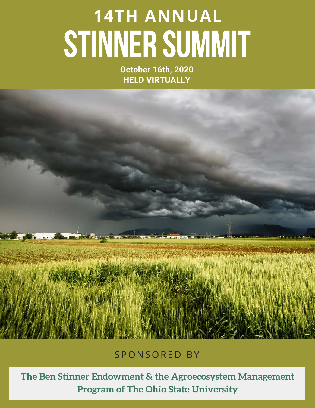# **14TH ANNUAL** STINNER SUMMIT

**October 16th, 2020 HELD VIRTUALLY**



## SPONSORED BY

**The Ben Stinner Endowment & the Agroecosystem Management Program of The Ohio State University**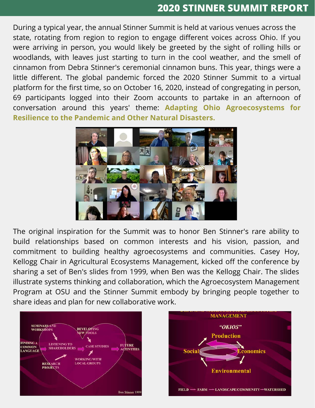#### **2020 STINNER SUMMIT REPORT**

During a typical year, the annual Stinner Summit is held at various venues across the state, rotating from region to region to engage different voices across Ohio. If you were arriving in person, you would likely be greeted by the sight of rolling hills or woodlands, with leaves just starting to turn in the cool weather, and the smell of cinnamon from Debra Stinner's ceremonial cinnamon buns. This year, things were a little different. The global pandemic forced the 2020 Stinner Summit to a virtual platform for the first time, so on October 16, 2020, instead of congregating in person, 69 participants logged into their Zoom accounts to partake in an afternoon of conversation around this years' theme: **Adapting Ohio Agroecosystems for Resilience to the Pandemic and Other Natural Disasters.**



The original inspiration for the Summit was to honor Ben Stinner's rare ability to build relationships based on common interests and his vision, passion, and commitment to building healthy agroecosystems and communities. Casey Hoy, Kellogg Chair in Agricultural Ecosystems Management, kicked off the conference by sharing a set of Ben's slides from 1999, when Ben was the Kellogg Chair. The slides illustrate systems thinking and collaboration, which the Agroecosystem Management Program at OSU and the Stinner Summit embody by bringing people together to share ideas and plan for new collaborative work.



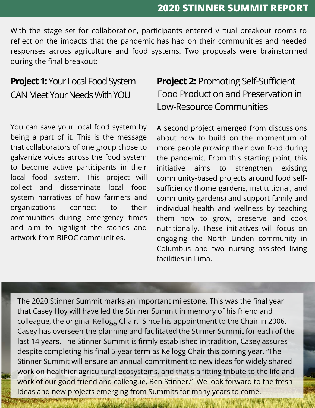With the stage set for collaboration, participants entered virtual breakout rooms to reflect on the impacts that the pandemic has had on their communities and needed responses across agriculture and food systems. Two proposals were brainstormed during the final breakout:

### **Project 1:** Your Local Food System CAN Meet Your Needs With YOU

You can save your local food system by being a part of it. This is the message that collaborators of one group chose to galvanize voices across the food system to become active participants in their local food system. This project will collect and disseminate local food system narratives of how farmers and organizations connect to their communities during emergency times and aim to highlight the stories and artwork from BIPOC communities.

## **Project 2: Promoting Self-Sufficient**  Food Production and Preservation in Low-Resource Communities

A second project emerged from discussions about how to build on the momentum of more people growing their own food during the pandemic. From this starting point, this initiative aims to strengthen existing community-based projects around food selfsufficiency (home gardens, institutional, and community gardens) and support family and individual health and wellness by teaching them how to grow, preserve and cook nutritionally. These initiatives will focus on engaging the North Linden community in Columbus and two nursing assisted living facilities in Lima.

The 2020 Stinner Summit marks an important milestone. This was the final year that Casey Hoy will have led the Stinner Summit in memory of his friend and colleague, the original Kellogg Chair. Since his appointment to the Chair in 2006, Casey has overseen the planning and facilitated the Stinner Summit for each of the last 14 years. The Stinner Summit is firmly established in tradition, Casey assures despite completing his final 5-year term as Kellogg Chair this coming year. "The Stinner Summit will ensure an annual commitment to new ideas for widely shared work on healthier agricultural ecosystems, and that's a fitting tribute to the life and work of our good friend and colleague, Ben Stinner." We look forward to the fresh ideas and new projects emerging from Summits for many years to come.

**ALCOHOL: SEN**